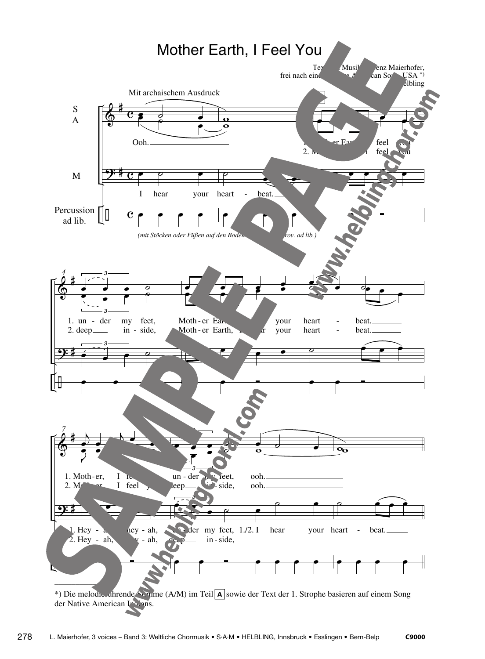